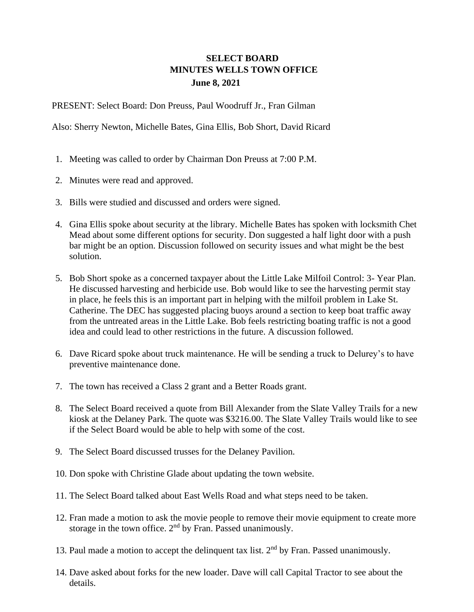## **SELECT BOARD MINUTES WELLS TOWN OFFICE June 8, 2021**

PRESENT: Select Board: Don Preuss, Paul Woodruff Jr., Fran Gilman

Also: Sherry Newton, Michelle Bates, Gina Ellis, Bob Short, David Ricard

- 1. Meeting was called to order by Chairman Don Preuss at 7:00 P.M.
- 2. Minutes were read and approved.
- 3. Bills were studied and discussed and orders were signed.
- 4. Gina Ellis spoke about security at the library. Michelle Bates has spoken with locksmith Chet Mead about some different options for security. Don suggested a half light door with a push bar might be an option. Discussion followed on security issues and what might be the best solution.
- 5. Bob Short spoke as a concerned taxpayer about the Little Lake Milfoil Control: 3- Year Plan. He discussed harvesting and herbicide use. Bob would like to see the harvesting permit stay in place, he feels this is an important part in helping with the milfoil problem in Lake St. Catherine. The DEC has suggested placing buoys around a section to keep boat traffic away from the untreated areas in the Little Lake. Bob feels restricting boating traffic is not a good idea and could lead to other restrictions in the future. A discussion followed.
- 6. Dave Ricard spoke about truck maintenance. He will be sending a truck to Delurey's to have preventive maintenance done.
- 7. The town has received a Class 2 grant and a Better Roads grant.
- 8. The Select Board received a quote from Bill Alexander from the Slate Valley Trails for a new kiosk at the Delaney Park. The quote was \$3216.00. The Slate Valley Trails would like to see if the Select Board would be able to help with some of the cost.
- 9. The Select Board discussed trusses for the Delaney Pavilion.
- 10. Don spoke with Christine Glade about updating the town website.
- 11. The Select Board talked about East Wells Road and what steps need to be taken.
- 12. Fran made a motion to ask the movie people to remove their movie equipment to create more storage in the town office.  $2<sup>nd</sup>$  by Fran. Passed unanimously.
- 13. Paul made a motion to accept the delinquent tax list.  $2<sup>nd</sup>$  by Fran. Passed unanimously.
- 14. Dave asked about forks for the new loader. Dave will call Capital Tractor to see about the details.